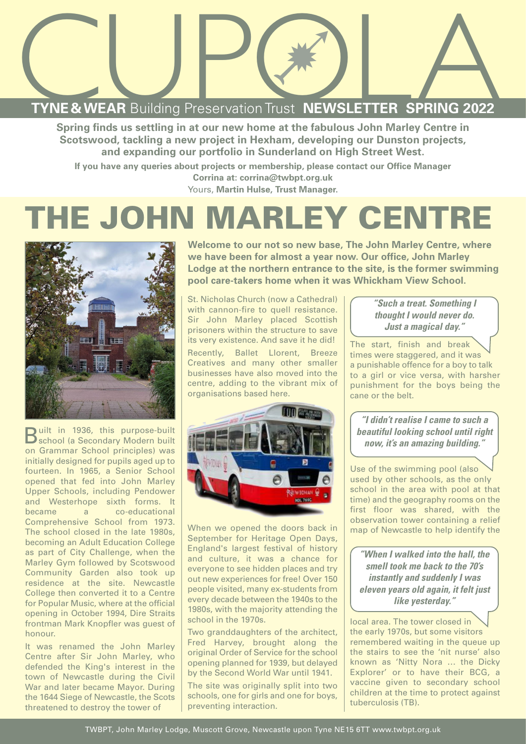

**Spring finds us settling in at our new home at the fabulous John Marley Centre in Scotswood, tackling a new project in Hexham, developing our Dunston projects, and expanding our portfolio in Sunderland on High Street West.**

**If you have any queries about projects or membership, please contact our Office Manager Corrina at: corrina@twbpt.org.uk**  Yours, **Martin Hulse, Trust Manager.** 

## **THE JOHN MARLEY CENTRE**



Built in 1936, this purpose-built school (a Secondary Modern built on Grammar School principles) was initially designed for pupils aged up to fourteen. In 1965, a Senior School opened that fed into John Marley Upper Schools, including Pendower and Westerhope sixth forms. It became a co-educational Comprehensive School from 1973. The school closed in the late 1980s, becoming an Adult Education College as part of City Challenge, when the Marley Gym followed by Scotswood Community Garden also took up residence at the site. Newcastle College then converted it to a Centre for Popular Music, where at the official opening in October 1994, Dire Straits frontman Mark Knopfler was guest of honour.

It was renamed the John Marley Centre after Sir John Marley, who defended the King's interest in the town of Newcastle during the Civil War and later became Mayor. During the 1644 Siege of Newcastle, the Scots threatened to destroy the tower of

**Welcome to our not so new base, The John Marley Centre, where we have been for almost a year now. Our office, John Marley Lodge at the northern entrance to the site, is the former swimming pool care-takers home when it was Whickham View School.**

St. Nicholas Church (now a Cathedral) with cannon-fire to quell resistance. Sir John Marley placed Scottish prisoners within the structure to save its very existence. And save it he did! Recently, Ballet Llorent, Breeze Creatives and many other smaller businesses have also moved into the centre, adding to the vibrant mix of organisations based here.



When we opened the doors back in September for Heritage Open Days, England's largest festival of history and culture, it was a chance for everyone to see hidden places and try out new experiences for free! Over 150 people visited, many ex-students from every decade between the 1940s to the 1980s, with the majority attending the school in the 1970s.

Two granddaughters of the architect, Fred Harvey, brought along the original Order of Service for the school opening planned for 1939, but delayed by the Second World War until 1941.

The site was originally split into two schools, one for girls and one for boys, preventing interaction.

**"Such a treat. Something I thought I would never do. Just a magical day."**

The start, finish and break times were staggered, and it was a punishable offence for a boy to talk to a girl or vice versa, with harsher punishment for the boys being the cane or the belt.

**"I didn't realise I came to such a beautiful looking school until right now, it's an amazing building."** 

Use of the swimming pool (also used by other schools, as the only school in the area with pool at that time) and the geography rooms on the first floor was shared, with the observation tower containing a relief map of Newcastle to help identify the

**"When I walked into the hall, the smell took me back to the 70's instantly and suddenly I was eleven years old again, it felt just like yesterday."** 

local area. The tower closed in the early 1970s, but some visitors remembered waiting in the queue up the stairs to see the 'nit nurse' also known as 'Nitty Nora … the Dicky Explorer' or to have their BCG, a vaccine given to secondary school children at the time to protect against tuberculosis (TB).